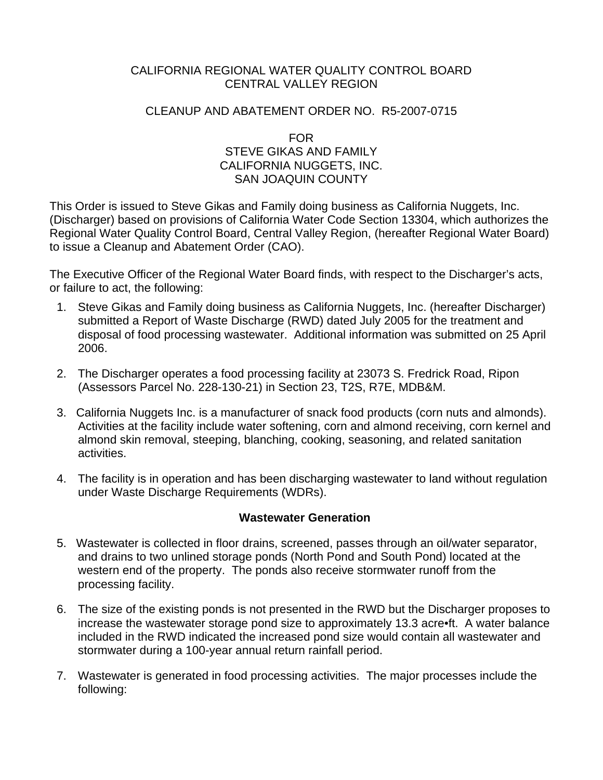## CALIFORNIA REGIONAL WATER QUALITY CONTROL BOARD CENTRAL VALLEY REGION

#### CLEANUP AND ABATEMENT ORDER NO. R5-2007-0715

FOR STEVE GIKAS AND FAMILY CALIFORNIA NUGGETS, INC. SAN JOAQUIN COUNTY

This Order is issued to Steve Gikas and Family doing business as California Nuggets, Inc. (Discharger) based on provisions of California Water Code Section 13304, which authorizes the Regional Water Quality Control Board, Central Valley Region, (hereafter Regional Water Board) to issue a Cleanup and Abatement Order (CAO).

The Executive Officer of the Regional Water Board finds, with respect to the Discharger's acts, or failure to act, the following:

- 1. Steve Gikas and Family doing business as California Nuggets, Inc. (hereafter Discharger) submitted a Report of Waste Discharge (RWD) dated July 2005 for the treatment and disposal of food processing wastewater. Additional information was submitted on 25 April 2006.
- 2. The Discharger operates a food processing facility at 23073 S. Fredrick Road, Ripon (Assessors Parcel No. 228-130-21) in Section 23, T2S, R7E, MDB&M.
- 3. California Nuggets Inc. is a manufacturer of snack food products (corn nuts and almonds). Activities at the facility include water softening, corn and almond receiving, corn kernel and almond skin removal, steeping, blanching, cooking, seasoning, and related sanitation activities.
- 4. The facility is in operation and has been discharging wastewater to land without regulation under Waste Discharge Requirements (WDRs).

## **Wastewater Generation**

- 5. Wastewater is collected in floor drains, screened, passes through an oil/water separator, and drains to two unlined storage ponds (North Pond and South Pond) located at the western end of the property. The ponds also receive stormwater runoff from the processing facility.
- 6. The size of the existing ponds is not presented in the RWD but the Discharger proposes to increase the wastewater storage pond size to approximately 13.3 acre•ft. A water balance included in the RWD indicated the increased pond size would contain all wastewater and stormwater during a 100-year annual return rainfall period.
- 7. Wastewater is generated in food processing activities. The major processes include the following: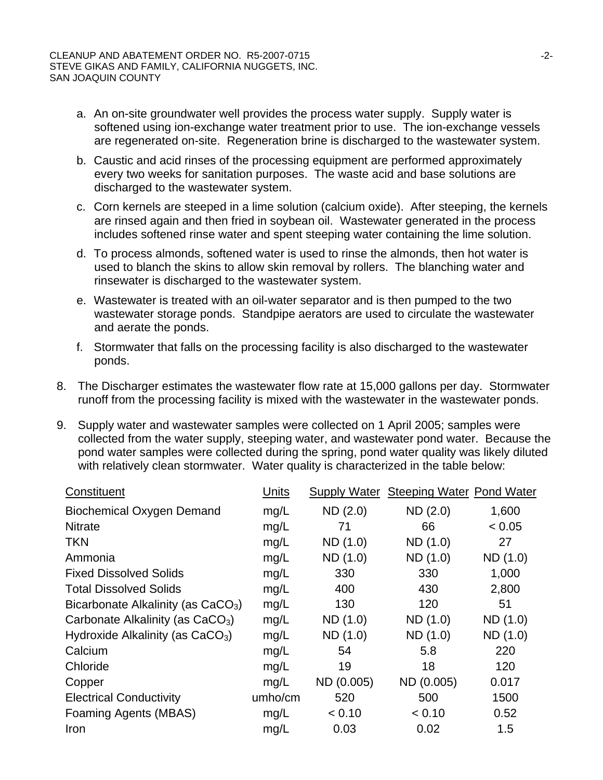- a. An on-site groundwater well provides the process water supply. Supply water is softened using ion-exchange water treatment prior to use. The ion-exchange vessels are regenerated on-site. Regeneration brine is discharged to the wastewater system.
- b. Caustic and acid rinses of the processing equipment are performed approximately every two weeks for sanitation purposes. The waste acid and base solutions are discharged to the wastewater system.
- c. Corn kernels are steeped in a lime solution (calcium oxide). After steeping, the kernels are rinsed again and then fried in soybean oil. Wastewater generated in the process includes softened rinse water and spent steeping water containing the lime solution.
- d. To process almonds, softened water is used to rinse the almonds, then hot water is used to blanch the skins to allow skin removal by rollers. The blanching water and rinsewater is discharged to the wastewater system.
- e. Wastewater is treated with an oil-water separator and is then pumped to the two wastewater storage ponds. Standpipe aerators are used to circulate the wastewater and aerate the ponds.
- f. Stormwater that falls on the processing facility is also discharged to the wastewater ponds.
- 8. The Discharger estimates the wastewater flow rate at 15,000 gallons per day. Stormwater runoff from the processing facility is mixed with the wastewater in the wastewater ponds.
- 9. Supply water and wastewater samples were collected on 1 April 2005; samples were collected from the water supply, steeping water, and wastewater pond water. Because the pond water samples were collected during the spring, pond water quality was likely diluted with relatively clean stormwater. Water quality is characterized in the table below:

| Constituent                                    | Units   | <b>Supply Water</b> | <b>Steeping Water Pond Water</b> |          |
|------------------------------------------------|---------|---------------------|----------------------------------|----------|
| <b>Biochemical Oxygen Demand</b>               | mg/L    | ND(2.0)             | ND(2.0)                          | 1,600    |
| <b>Nitrate</b>                                 | mg/L    | 71                  | 66                               | < 0.05   |
| <b>TKN</b>                                     | mg/L    | ND (1.0)            | ND (1.0)                         | 27       |
| Ammonia                                        | mg/L    | ND (1.0)            | ND (1.0)                         | ND (1.0) |
| <b>Fixed Dissolved Solids</b>                  | mg/L    | 330                 | 330                              | 1,000    |
| <b>Total Dissolved Solids</b>                  | mg/L    | 400                 | 430                              | 2,800    |
| Bicarbonate Alkalinity (as CaCO <sub>3</sub> ) | mg/L    | 130                 | 120                              | 51       |
| Carbonate Alkalinity (as CaCO <sub>3</sub> )   | mg/L    | ND (1.0)            | ND (1.0)                         | ND (1.0) |
| Hydroxide Alkalinity (as CaCO <sub>3</sub> )   | mg/L    | ND(1.0)             | ND (1.0)                         | ND (1.0) |
| Calcium                                        | mg/L    | 54                  | 5.8                              | 220      |
| Chloride                                       | mg/L    | 19                  | 18                               | 120      |
| Copper                                         | mg/L    | ND (0.005)          | ND (0.005)                       | 0.017    |
| <b>Electrical Conductivity</b>                 | umho/cm | 520                 | 500                              | 1500     |
| Foaming Agents (MBAS)                          | mg/L    | < 0.10              | < 0.10                           | 0.52     |
| Iron                                           | mg/L    | 0.03                | 0.02                             | 1.5      |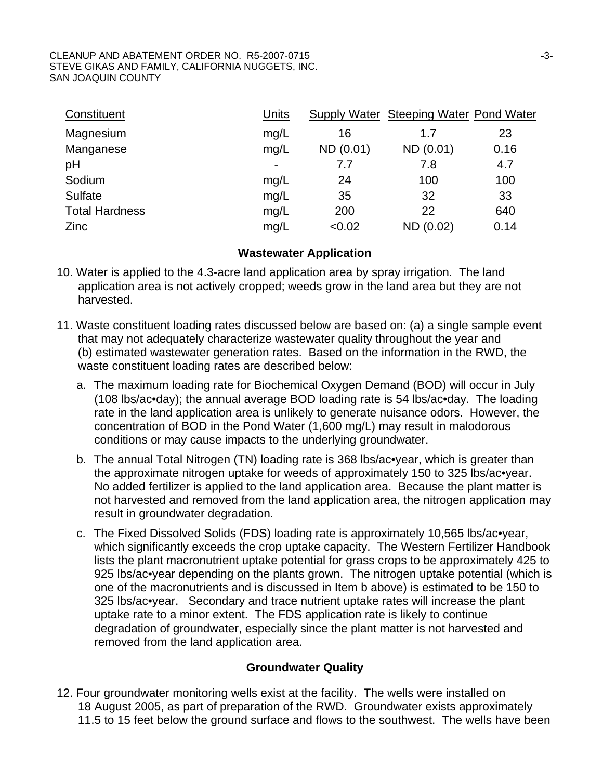#### CLEANUP AND ABATEMENT ORDER NO. R5-2007-0715 STEVE GIKAS AND FAMILY, CALIFORNIA NUGGETS, INC. SAN JOAQUIN COUNTY

| Constituent           | Units          |           | Supply Water Steeping Water Pond Water |      |
|-----------------------|----------------|-----------|----------------------------------------|------|
| Magnesium             | mg/L           | 16        | 1.7                                    | 23   |
| Manganese             | mg/L           | ND (0.01) | ND (0.01)                              | 0.16 |
| pH                    | $\blacksquare$ | 7.7       | 7.8                                    | 4.7  |
| Sodium                | mg/L           | 24        | 100                                    | 100  |
| <b>Sulfate</b>        | mg/L           | 35        | 32                                     | 33   |
| <b>Total Hardness</b> | mg/L           | 200       | 22                                     | 640  |
| Zinc                  | mg/L           | < 0.02    | ND (0.02)                              | 0.14 |

#### **Wastewater Application**

- 10. Water is applied to the 4.3-acre land application area by spray irrigation. The land application area is not actively cropped; weeds grow in the land area but they are not harvested.
- 11. Waste constituent loading rates discussed below are based on: (a) a single sample event that may not adequately characterize wastewater quality throughout the year and (b) estimated wastewater generation rates. Based on the information in the RWD, the waste constituent loading rates are described below:
	- a. The maximum loading rate for Biochemical Oxygen Demand (BOD) will occur in July (108 lbs/ac•day); the annual average BOD loading rate is 54 lbs/ac•day. The loading rate in the land application area is unlikely to generate nuisance odors. However, the concentration of BOD in the Pond Water (1,600 mg/L) may result in malodorous conditions or may cause impacts to the underlying groundwater.
	- b. The annual Total Nitrogen (TN) loading rate is 368 lbs/ac•year, which is greater than the approximate nitrogen uptake for weeds of approximately 150 to 325 lbs/ac•year. No added fertilizer is applied to the land application area. Because the plant matter is not harvested and removed from the land application area, the nitrogen application may result in groundwater degradation.
	- c. The Fixed Dissolved Solids (FDS) loading rate is approximately 10,565 lbs/ac•year, which significantly exceeds the crop uptake capacity. The Western Fertilizer Handbook lists the plant macronutrient uptake potential for grass crops to be approximately 425 to 925 lbs/ac•year depending on the plants grown. The nitrogen uptake potential (which is one of the macronutrients and is discussed in Item b above) is estimated to be 150 to 325 lbs/ac•year. Secondary and trace nutrient uptake rates will increase the plant uptake rate to a minor extent. The FDS application rate is likely to continue degradation of groundwater, especially since the plant matter is not harvested and removed from the land application area.

## **Groundwater Quality**

12. Four groundwater monitoring wells exist at the facility. The wells were installed on 18 August 2005, as part of preparation of the RWD. Groundwater exists approximately 11.5 to 15 feet below the ground surface and flows to the southwest. The wells have been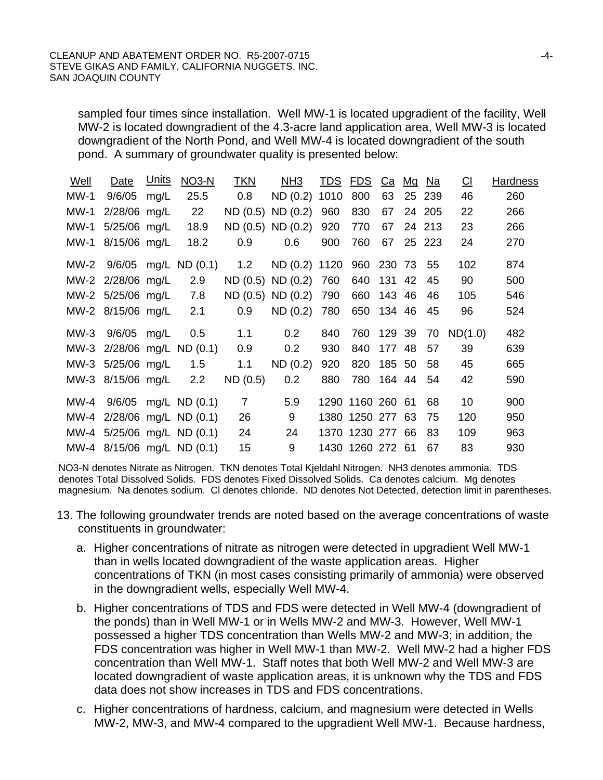sampled four times since installation. Well MW-1 is located upgradient of the facility, Well MW-2 is located downgradient of the 4.3-acre land application area, Well MW-3 is located downgradient of the North Pond, and Well MW-4 is located downgradient of the south pond. A summary of groundwater quality is presented below:

| Well        | Date              | <u>Units</u> | <b>NO3-N</b>               | <b>TKN</b>     | NH <sub>3</sub>             |      | <u>TDS</u> FDS   |        | <u>Ca Mg</u> | Na     | $\underline{\text{Cl}}$ | <b>Hardness</b> |
|-------------|-------------------|--------------|----------------------------|----------------|-----------------------------|------|------------------|--------|--------------|--------|-------------------------|-----------------|
| $MW-1$      | 9/6/05            | mg/L         | 25.5                       | 0.8            | ND(0.2)                     | 1010 | 800              | 63     | 25           | 239    | 46                      | 260             |
| <b>MW-1</b> | 2/28/06 mg/L      |              | 22                         |                | ND(0.5) ND(0.2)             | 960  | 830              | 67     |              | 24 205 | 22                      | 266             |
| <b>MW-1</b> | 5/25/06 mg/L      |              | 18.9                       |                | ND (0.5) ND (0.2)           | 920  | 770              | 67     |              | 24 213 | 23                      | 266             |
| $MW-1$      | 8/15/06 mg/L      |              | 18.2                       | 0.9            | 0.6                         | 900  | 760              | 67     |              | 25 223 | 24                      | 270             |
|             |                   |              | MW-2 9/6/05 mg/L ND (0.1)  | 1.2            | ND (0.2) 1120 960 230 73 55 |      |                  |        |              |        | 102                     | 874             |
|             | MW-2 2/28/06 mg/L |              | 2.9                        |                | ND(0.5) ND(0.2)             | 760  | 640              | 131 42 |              | 45     | 90                      | 500             |
|             | MW-2 5/25/06 mg/L |              | 7.8                        |                | ND (0.5) ND (0.2)           | 790  | 660              | 143 46 |              | 46     | 105                     | 546             |
|             | MW-2 8/15/06 mg/L |              | 2.1                        | 0.9            | ND(0.2)                     | 780  | 650              | 134 46 |              | 45     | 96                      | 524             |
|             | MW-3 9/6/05 mg/L  |              | 0.5                        | 1.1            | 0.2                         | 840  | 760 129 39       |        |              | 70     | ND(1.0)                 | 482             |
|             |                   |              | MW-3 2/28/06 mg/L ND (0.1) | 0.9            | 0.2                         | 930  | 840              | 177 48 |              | 57     | 39                      | 639             |
|             | MW-3 5/25/06 mg/L |              | 1.5                        | 1.1            | ND(0.2)                     | 920  | 820              | 185 50 |              | 58     | 45                      | 665             |
|             | MW-3 8/15/06 mg/L |              | 2.2                        | ND (0.5)       | 0.2                         | 880  | 780              | 164 44 |              | 54     | 42                      | 590             |
|             |                   |              | MW-4 9/6/05 mg/L ND (0.1)  | $\overline{7}$ | 5.9                         |      | 1290 1160 260 61 |        |              | 68     | 10                      | 900             |
|             |                   |              | MW-4 2/28/06 mg/L ND (0.1) | 26             | 9                           |      | 1380 1250 277 63 |        |              | 75     | 120                     | 950             |
|             |                   |              | MW-4 5/25/06 mg/L ND (0.1) | 24             | 24                          |      | 1370 1230 277 66 |        |              | 83     | 109                     | 963             |
|             |                   |              | MW-4 8/15/06 mg/L ND (0.1) | 15             | 9                           |      | 1430 1260 272 61 |        |              | 67     | 83                      | 930             |

NO3-N denotes Nitrate as Nitrogen. TKN denotes Total Kjeldahl Nitrogen. NH3 denotes ammonia. TDS denotes Total Dissolved Solids. FDS denotes Fixed Dissolved Solids. Ca denotes calcium. Mg denotes magnesium. Na denotes sodium. Cl denotes chloride. ND denotes Not Detected, detection limit in parentheses.

- 13. The following groundwater trends are noted based on the average concentrations of waste constituents in groundwater:
	- a. Higher concentrations of nitrate as nitrogen were detected in upgradient Well MW-1 than in wells located downgradient of the waste application areas. Higher concentrations of TKN (in most cases consisting primarily of ammonia) were observed in the downgradient wells, especially Well MW-4.
	- b. Higher concentrations of TDS and FDS were detected in Well MW-4 (downgradient of the ponds) than in Well MW-1 or in Wells MW-2 and MW-3. However, Well MW-1 possessed a higher TDS concentration than Wells MW-2 and MW-3; in addition, the FDS concentration was higher in Well MW-1 than MW-2. Well MW-2 had a higher FDS concentration than Well MW-1. Staff notes that both Well MW-2 and Well MW-3 are located downgradient of waste application areas, it is unknown why the TDS and FDS data does not show increases in TDS and FDS concentrations.
	- c. Higher concentrations of hardness, calcium, and magnesium were detected in Wells MW-2, MW-3, and MW-4 compared to the upgradient Well MW-1. Because hardness,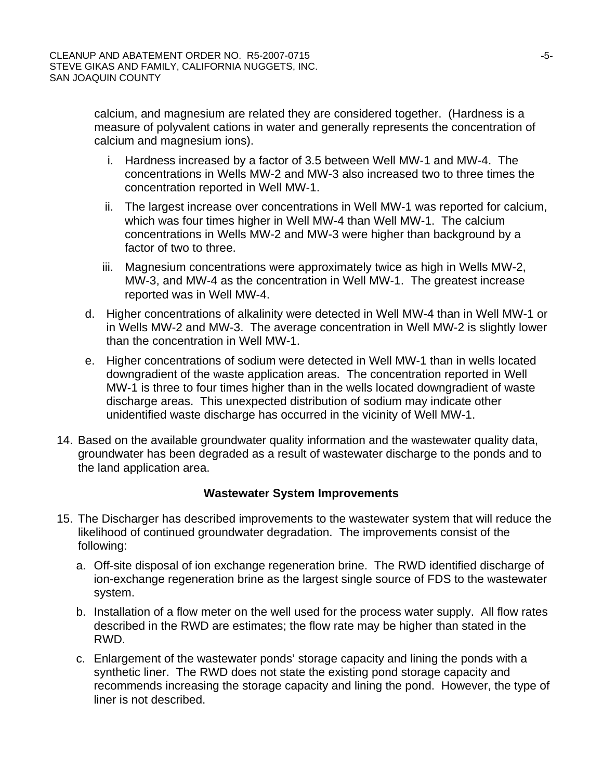calcium, and magnesium are related they are considered together. (Hardness is a measure of polyvalent cations in water and generally represents the concentration of calcium and magnesium ions).

- i. Hardness increased by a factor of 3.5 between Well MW-1 and MW-4. The concentrations in Wells MW-2 and MW-3 also increased two to three times the concentration reported in Well MW-1.
- ii. The largest increase over concentrations in Well MW-1 was reported for calcium, which was four times higher in Well MW-4 than Well MW-1. The calcium concentrations in Wells MW-2 and MW-3 were higher than background by a factor of two to three.
- iii. Magnesium concentrations were approximately twice as high in Wells MW-2, MW-3, and MW-4 as the concentration in Well MW-1. The greatest increase reported was in Well MW-4.
- d. Higher concentrations of alkalinity were detected in Well MW-4 than in Well MW-1 or in Wells MW-2 and MW-3. The average concentration in Well MW-2 is slightly lower than the concentration in Well MW-1.
- e. Higher concentrations of sodium were detected in Well MW-1 than in wells located downgradient of the waste application areas. The concentration reported in Well MW-1 is three to four times higher than in the wells located downgradient of waste discharge areas. This unexpected distribution of sodium may indicate other unidentified waste discharge has occurred in the vicinity of Well MW-1.
- 14. Based on the available groundwater quality information and the wastewater quality data, groundwater has been degraded as a result of wastewater discharge to the ponds and to the land application area.

## **Wastewater System Improvements**

- 15. The Discharger has described improvements to the wastewater system that will reduce the likelihood of continued groundwater degradation. The improvements consist of the following:
	- a. Off-site disposal of ion exchange regeneration brine. The RWD identified discharge of ion-exchange regeneration brine as the largest single source of FDS to the wastewater system.
	- b. Installation of a flow meter on the well used for the process water supply. All flow rates described in the RWD are estimates; the flow rate may be higher than stated in the RWD.
	- c. Enlargement of the wastewater ponds' storage capacity and lining the ponds with a synthetic liner. The RWD does not state the existing pond storage capacity and recommends increasing the storage capacity and lining the pond. However, the type of liner is not described.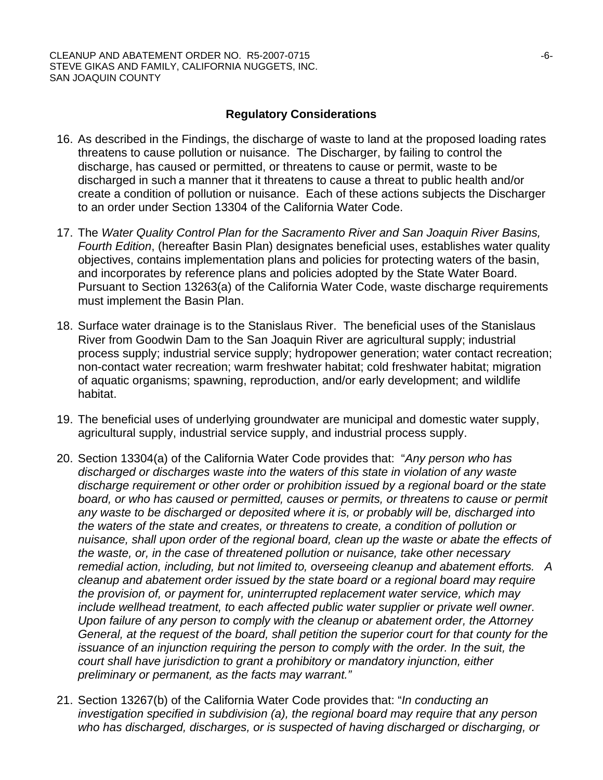## **Regulatory Considerations**

- 16. As described in the Findings, the discharge of waste to land at the proposed loading rates threatens to cause pollution or nuisance. The Discharger, by failing to control the discharge, has caused or permitted, or threatens to cause or permit, waste to be discharged in such a manner that it threatens to cause a threat to public health and/or create a condition of pollution or nuisance. Each of these actions subjects the Discharger to an order under Section 13304 of the California Water Code.
- 17. The *Water Quality Control Plan for the Sacramento River and San Joaquin River Basins, Fourth Edition*, (hereafter Basin Plan) designates beneficial uses, establishes water quality objectives, contains implementation plans and policies for protecting waters of the basin, and incorporates by reference plans and policies adopted by the State Water Board. Pursuant to Section 13263(a) of the California Water Code, waste discharge requirements must implement the Basin Plan.
- 18. Surface water drainage is to the Stanislaus River. The beneficial uses of the Stanislaus River from Goodwin Dam to the San Joaquin River are agricultural supply; industrial process supply; industrial service supply; hydropower generation; water contact recreation; non-contact water recreation; warm freshwater habitat; cold freshwater habitat; migration of aquatic organisms; spawning, reproduction, and/or early development; and wildlife habitat.
- 19. The beneficial uses of underlying groundwater are municipal and domestic water supply, agricultural supply, industrial service supply, and industrial process supply.
- 20. Section 13304(a) of the California Water Code provides that: "*Any person who has discharged or discharges waste into the waters of this state in violation of any waste discharge requirement or other order or prohibition issued by a regional board or the state board, or who has caused or permitted, causes or permits, or threatens to cause or permit any waste to be discharged or deposited where it is, or probably will be, discharged into the waters of the state and creates, or threatens to create, a condition of pollution or nuisance, shall upon order of the regional board, clean up the waste or abate the effects of the waste, or, in the case of threatened pollution or nuisance, take other necessary remedial action, including, but not limited to, overseeing cleanup and abatement efforts. A cleanup and abatement order issued by the state board or a regional board may require the provision of, or payment for, uninterrupted replacement water service, which may include wellhead treatment, to each affected public water supplier or private well owner. Upon failure of any person to comply with the cleanup or abatement order, the Attorney General, at the request of the board, shall petition the superior court for that county for the issuance of an injunction requiring the person to comply with the order. In the suit, the court shall have jurisdiction to grant a prohibitory or mandatory injunction, either preliminary or permanent, as the facts may warrant."*
- 21. Section 13267(b) of the California Water Code provides that: "*In conducting an investigation specified in subdivision (a), the regional board may require that any person who has discharged, discharges, or is suspected of having discharged or discharging, or*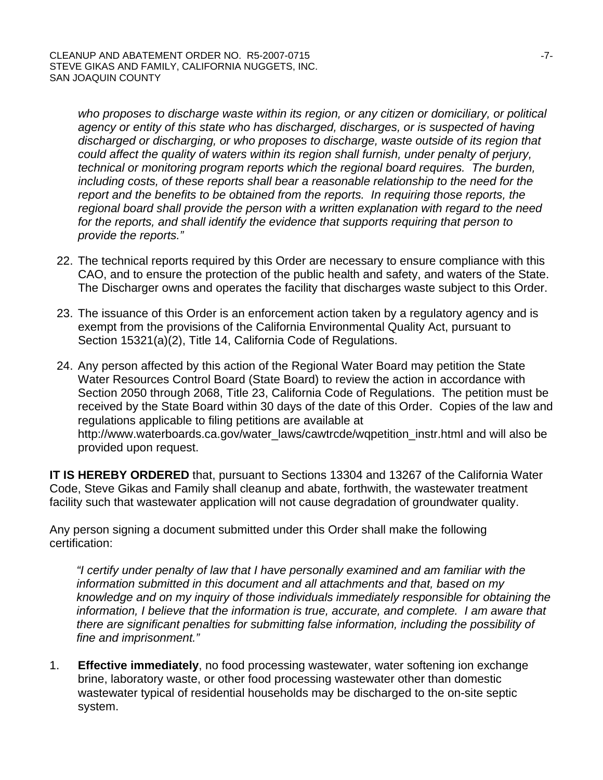*who proposes to discharge waste within its region, or any citizen or domiciliary, or political agency or entity of this state who has discharged, discharges, or is suspected of having discharged or discharging, or who proposes to discharge, waste outside of its region that could affect the quality of waters within its region shall furnish, under penalty of perjury, technical or monitoring program reports which the regional board requires. The burden, including costs, of these reports shall bear a reasonable relationship to the need for the report and the benefits to be obtained from the reports. In requiring those reports, the regional board shall provide the person with a written explanation with regard to the need*  for the reports, and shall identify the evidence that supports requiring that person to *provide the reports."*

- 22. The technical reports required by this Order are necessary to ensure compliance with this CAO, and to ensure the protection of the public health and safety, and waters of the State. The Discharger owns and operates the facility that discharges waste subject to this Order.
- 23. The issuance of this Order is an enforcement action taken by a regulatory agency and is exempt from the provisions of the California Environmental Quality Act, pursuant to Section 15321(a)(2), Title 14, California Code of Regulations.
- 24. Any person affected by this action of the Regional Water Board may petition the State Water Resources Control Board (State Board) to review the action in accordance with Section 2050 through 2068, Title 23, California Code of Regulations. The petition must be received by the State Board within 30 days of the date of this Order. Copies of the law and regulations applicable to filing petitions are available at http://www.waterboards.ca.gov/water\_laws/cawtrcde/wqpetition\_instr.html and will also be provided upon request.

**IT IS HEREBY ORDERED** that, pursuant to Sections 13304 and 13267 of the California Water Code, Steve Gikas and Family shall cleanup and abate, forthwith, the wastewater treatment facility such that wastewater application will not cause degradation of groundwater quality.

Any person signing a document submitted under this Order shall make the following certification:

*"I certify under penalty of law that I have personally examined and am familiar with the information submitted in this document and all attachments and that, based on my knowledge and on my inquiry of those individuals immediately responsible for obtaining the information, I believe that the information is true, accurate, and complete. I am aware that there are significant penalties for submitting false information, including the possibility of fine and imprisonment."* 

1. **Effective immediately**, no food processing wastewater, water softening ion exchange brine, laboratory waste, or other food processing wastewater other than domestic wastewater typical of residential households may be discharged to the on-site septic system.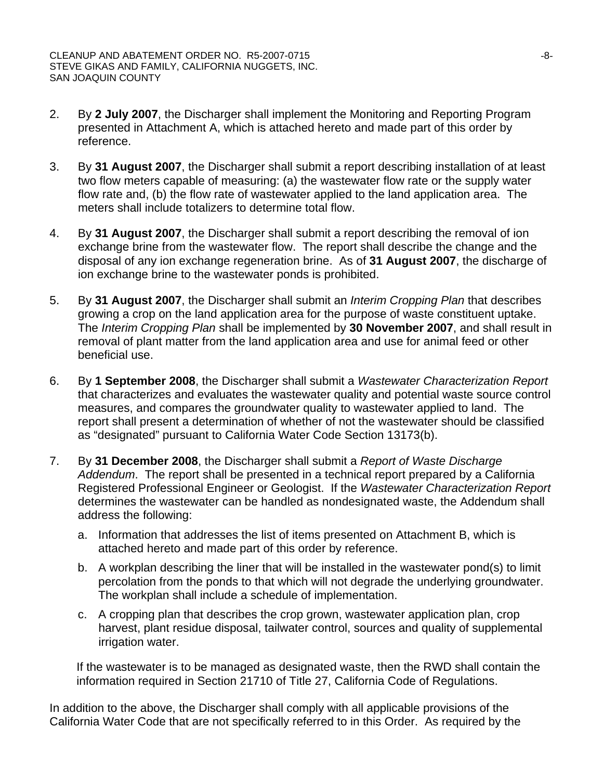- 2. By **2 July 2007**, the Discharger shall implement the Monitoring and Reporting Program presented in Attachment A, which is attached hereto and made part of this order by reference.
- 3. By **31 August 2007**, the Discharger shall submit a report describing installation of at least two flow meters capable of measuring: (a) the wastewater flow rate or the supply water flow rate and, (b) the flow rate of wastewater applied to the land application area. The meters shall include totalizers to determine total flow.
- 4. By **31 August 2007**, the Discharger shall submit a report describing the removal of ion exchange brine from the wastewater flow. The report shall describe the change and the disposal of any ion exchange regeneration brine. As of **31 August 2007**, the discharge of ion exchange brine to the wastewater ponds is prohibited.
- 5. By **31 August 2007**, the Discharger shall submit an *Interim Cropping Plan* that describes growing a crop on the land application area for the purpose of waste constituent uptake. The *Interim Cropping Plan* shall be implemented by **30 November 2007**, and shall result in removal of plant matter from the land application area and use for animal feed or other beneficial use.
- 6. By **1 September 2008**, the Discharger shall submit a *Wastewater Characterization Report* that characterizes and evaluates the wastewater quality and potential waste source control measures, and compares the groundwater quality to wastewater applied to land. The report shall present a determination of whether of not the wastewater should be classified as "designated" pursuant to California Water Code Section 13173(b).
- 7. By **31 December 2008**, the Discharger shall submit a *Report of Waste Discharge Addendum*. The report shall be presented in a technical report prepared by a California Registered Professional Engineer or Geologist. If the *Wastewater Characterization Report* determines the wastewater can be handled as nondesignated waste, the Addendum shall address the following:
	- a. Information that addresses the list of items presented on Attachment B, which is attached hereto and made part of this order by reference.
	- b. A workplan describing the liner that will be installed in the wastewater pond(s) to limit percolation from the ponds to that which will not degrade the underlying groundwater. The workplan shall include a schedule of implementation.
	- c. A cropping plan that describes the crop grown, wastewater application plan, crop harvest, plant residue disposal, tailwater control, sources and quality of supplemental irrigation water.

If the wastewater is to be managed as designated waste, then the RWD shall contain the information required in Section 21710 of Title 27, California Code of Regulations.

In addition to the above, the Discharger shall comply with all applicable provisions of the California Water Code that are not specifically referred to in this Order. As required by the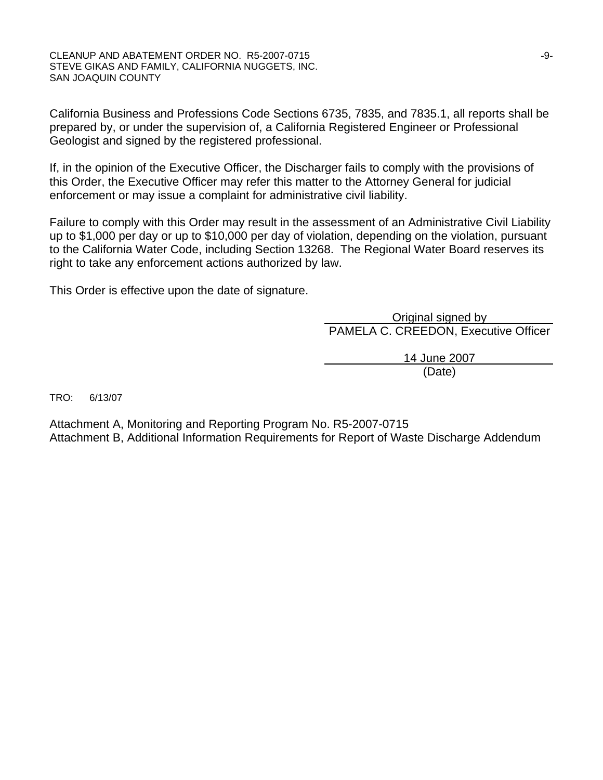CLEANUP AND ABATEMENT ORDER NO. R5-2007-0715 STEVE GIKAS AND FAMILY, CALIFORNIA NUGGETS, INC. SAN JOAQUIN COUNTY

California Business and Professions Code Sections 6735, 7835, and 7835.1, all reports shall be prepared by, or under the supervision of, a California Registered Engineer or Professional Geologist and signed by the registered professional.

If, in the opinion of the Executive Officer, the Discharger fails to comply with the provisions of this Order, the Executive Officer may refer this matter to the Attorney General for judicial enforcement or may issue a complaint for administrative civil liability.

Failure to comply with this Order may result in the assessment of an Administrative Civil Liability up to \$1,000 per day or up to \$10,000 per day of violation, depending on the violation, pursuant to the California Water Code, including Section 13268. The Regional Water Board reserves its right to take any enforcement actions authorized by law.

This Order is effective upon the date of signature.

 Original signed by PAMELA C. CREEDON, Executive Officer

 14 June 2007 (Date)

TRO: 6/13/07

Attachment A, Monitoring and Reporting Program No. R5-2007-0715 Attachment B, Additional Information Requirements for Report of Waste Discharge Addendum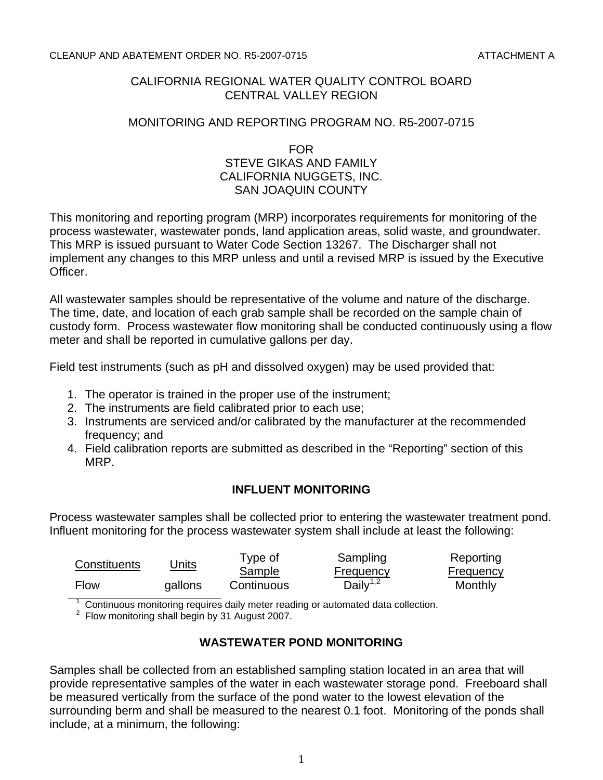#### CLEANUP AND ABATEMENT ORDER NO. R5-2007-0715 ATTACHMENT A

## CALIFORNIA REGIONAL WATER QUALITY CONTROL BOARD CENTRAL VALLEY REGION

#### MONITORING AND REPORTING PROGRAM NO. R5-2007-0715

#### FOR STEVE GIKAS AND FAMILY CALIFORNIA NUGGETS, INC. SAN JOAQUIN COUNTY

This monitoring and reporting program (MRP) incorporates requirements for monitoring of the process wastewater, wastewater ponds, land application areas, solid waste, and groundwater. This MRP is issued pursuant to Water Code Section 13267. The Discharger shall not implement any changes to this MRP unless and until a revised MRP is issued by the Executive Officer.

All wastewater samples should be representative of the volume and nature of the discharge. The time, date, and location of each grab sample shall be recorded on the sample chain of custody form. Process wastewater flow monitoring shall be conducted continuously using a flow meter and shall be reported in cumulative gallons per day.

Field test instruments (such as pH and dissolved oxygen) may be used provided that:

- 1. The operator is trained in the proper use of the instrument;
- 2. The instruments are field calibrated prior to each use;
- 3. Instruments are serviced and/or calibrated by the manufacturer at the recommended frequency; and
- 4. Field calibration reports are submitted as described in the "Reporting" section of this MRP.

## **INFLUENT MONITORING**

Process wastewater samples shall be collected prior to entering the wastewater treatment pond. Influent monitoring for the process wastewater system shall include at least the following:

| Constituents | Units   | Type of    | Sampling                                                                         | Reporting |
|--------------|---------|------------|----------------------------------------------------------------------------------|-----------|
|              |         | Sample     | <b>Frequency</b>                                                                 | Frequency |
| Flow         | gallons | Continuous | $\overline{Daily}^{1,2}$                                                         | Monthly   |
|              |         |            | Continuous menitoring requires deily meter reading or quitemeted data sollection |           |

 $\alpha^2$  Continuous monitoring requires daily meter reading or automated data collection.<br>2. Flou monitoring aboll bogin by 21 August 2007.

<sup>2</sup> Flow monitoring shall begin by 31 August 2007.

## **WASTEWATER POND MONITORING**

Samples shall be collected from an established sampling station located in an area that will provide representative samples of the water in each wastewater storage pond. Freeboard shall be measured vertically from the surface of the pond water to the lowest elevation of the surrounding berm and shall be measured to the nearest 0.1 foot. Monitoring of the ponds shall include, at a minimum, the following: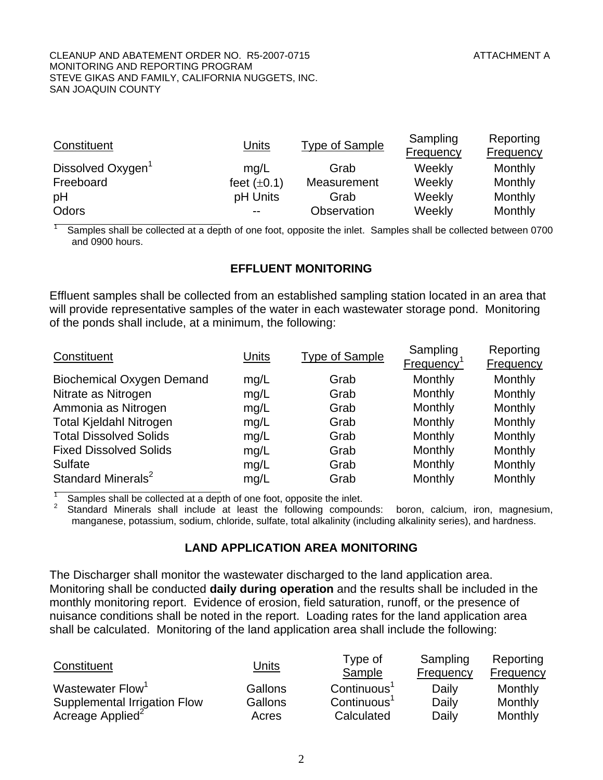1

| Constituent                   | Units            | <b>Type of Sample</b> | Sampling<br>Frequency | Reporting<br>Frequency |
|-------------------------------|------------------|-----------------------|-----------------------|------------------------|
| Dissolved Oxygen <sup>1</sup> | mq/L             | Grab                  | Weekly                | Monthly                |
| Freeboard                     | feet $(\pm 0.1)$ | Measurement           | Weekly                | Monthly                |
| pH                            | pH Units         | Grab                  | Weekly                | Monthly                |
| Odors                         | $- -$            | Observation           | Weekly                | Monthly                |

l Samples shall be collected at a depth of one foot, opposite the inlet. Samples shall be collected between 0700 and 0900 hours.

## **EFFLUENT MONITORING**

Effluent samples shall be collected from an established sampling station located in an area that will provide representative samples of the water in each wastewater storage pond. Monitoring of the ponds shall include, at a minimum, the following:

| Constituent                      | <b>Units</b> | <b>Type of Sample</b> | Sampling<br>Frequency | Reporting<br>Frequency |
|----------------------------------|--------------|-----------------------|-----------------------|------------------------|
| <b>Biochemical Oxygen Demand</b> | mg/L         | Grab                  | Monthly               | Monthly                |
| Nitrate as Nitrogen              | mg/L         | Grab                  | Monthly               | Monthly                |
| Ammonia as Nitrogen              | mg/L         | Grab                  | Monthly               | Monthly                |
| <b>Total Kjeldahl Nitrogen</b>   | mg/L         | Grab                  | Monthly               | Monthly                |
| <b>Total Dissolved Solids</b>    | mg/L         | Grab                  | Monthly               | Monthly                |
| <b>Fixed Dissolved Solids</b>    | mg/L         | Grab                  | Monthly               | Monthly                |
| <b>Sulfate</b>                   | mg/L         | Grab                  | Monthly               | Monthly                |
| Standard Minerals <sup>2</sup>   | mg/L         | Grab                  | Monthly               | Monthly                |

1 Samples shall be collected at a depth of one foot, opposite the inlet.

2 Standard Minerals shall include at least the following compounds: boron, calcium, iron, magnesium, manganese, potassium, sodium, chloride, sulfate, total alkalinity (including alkalinity series), and hardness.

#### **LAND APPLICATION AREA MONITORING**

The Discharger shall monitor the wastewater discharged to the land application area. Monitoring shall be conducted **daily during operation** and the results shall be included in the monthly monitoring report. Evidence of erosion, field saturation, runoff, or the presence of nuisance conditions shall be noted in the report. Loading rates for the land application area shall be calculated. Monitoring of the land application area shall include the following:

| Constituent                  | <u>Units</u> | Type of<br>Sample       | Sampling<br>Frequency | Reporting<br>Frequency |
|------------------------------|--------------|-------------------------|-----------------------|------------------------|
| Wastewater Flow <sup>1</sup> | Gallons      | Continuous <sup>1</sup> | Daily                 | Monthly                |
| Supplemental Irrigation Flow | Gallons      | $\text{Continuous}^1$   | Daily                 | Monthly                |
| Acreage Applied <sup>2</sup> | Acres        | Calculated              | Daily                 | Monthly                |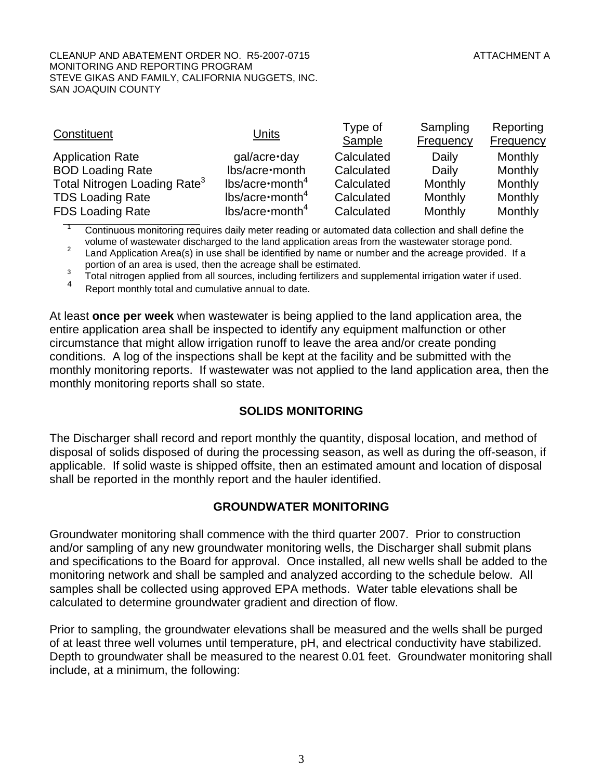#### CLEANUP AND ABATEMENT ORDER NO. R5-2007-0715 ATTACHMENT A MONITORING AND REPORTING PROGRAM STEVE GIKAS AND FAMILY, CALIFORNIA NUGGETS, INC. SAN JOAQUIN COUNTY

| Constituent                              | <b>Units</b>             | Type of<br>Sample | Sampling<br>Frequency | Reporting<br><b>Frequency</b> |
|------------------------------------------|--------------------------|-------------------|-----------------------|-------------------------------|
| <b>Application Rate</b>                  | gal/acre-day             | Calculated        | Daily                 | Monthly                       |
| <b>BOD Loading Rate</b>                  | lbs/acre·month           | Calculated        | Daily                 | Monthly                       |
| Total Nitrogen Loading Rate <sup>3</sup> | $lbs/acre \cdot month^4$ | Calculated        | Monthly               | Monthly                       |
| <b>TDS Loading Rate</b>                  | $lbs/acre \cdot month^4$ | Calculated        | Monthly               | Monthly                       |
| <b>FDS Loading Rate</b>                  | $lbs/acre \cdot month^4$ | Calculated        | Monthly               | Monthly                       |

1 Continuous monitoring requires daily meter reading or automated data collection and shall define the volume of wastewater discharged to the land application areas from the wastewater storage pond.<br>
<sup>2</sup> lead Application Area(e) in use aboll be identified by name ar number and the ecreage provided.

 Land Application Area(s) in use shall be identified by name or number and the acreage provided. If a portion of an area is used, then the acreage shall be estimated.<br><sup>3</sup> Total pitters a capital from all courses, including fartilizers and a

 $3$  Total nitrogen applied from all sources, including fertilizers and supplemental irrigation water if used.

Report monthly total and cumulative annual to date.

At least **once per week** when wastewater is being applied to the land application area, the entire application area shall be inspected to identify any equipment malfunction or other circumstance that might allow irrigation runoff to leave the area and/or create ponding conditions. A log of the inspections shall be kept at the facility and be submitted with the monthly monitoring reports. If wastewater was not applied to the land application area, then the monthly monitoring reports shall so state.

#### **SOLIDS MONITORING**

The Discharger shall record and report monthly the quantity, disposal location, and method of disposal of solids disposed of during the processing season, as well as during the off-season, if applicable. If solid waste is shipped offsite, then an estimated amount and location of disposal shall be reported in the monthly report and the hauler identified.

#### **GROUNDWATER MONITORING**

Groundwater monitoring shall commence with the third quarter 2007. Prior to construction and/or sampling of any new groundwater monitoring wells, the Discharger shall submit plans and specifications to the Board for approval. Once installed, all new wells shall be added to the monitoring network and shall be sampled and analyzed according to the schedule below. All samples shall be collected using approved EPA methods. Water table elevations shall be calculated to determine groundwater gradient and direction of flow.

Prior to sampling, the groundwater elevations shall be measured and the wells shall be purged of at least three well volumes until temperature, pH, and electrical conductivity have stabilized. Depth to groundwater shall be measured to the nearest 0.01 feet. Groundwater monitoring shall include, at a minimum, the following: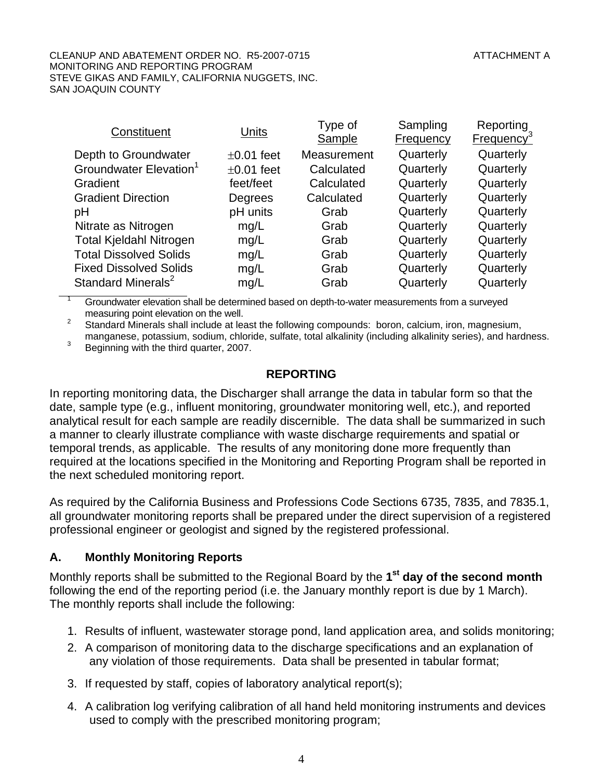#### CLEANUP AND ABATEMENT ORDER NO. R5-2007-0715 ATTACHMENT AND ATTACHMENT A MONITORING AND REPORTING PROGRAM STEVE GIKAS AND FAMILY, CALIFORNIA NUGGETS, INC. SAN JOAQUIN COUNTY

| Constituent                        | Units           | Type of     | Sampling  | Reporting              |
|------------------------------------|-----------------|-------------|-----------|------------------------|
|                                    |                 | Sample      | Frequency | Frequency <sup>3</sup> |
| Depth to Groundwater               | $\pm 0.01$ feet | Measurement | Quarterly | Quarterly              |
| Groundwater Elevation <sup>1</sup> | $\pm 0.01$ feet | Calculated  | Quarterly | Quarterly              |
| Gradient                           | feet/feet       | Calculated  | Quarterly | Quarterly              |
| <b>Gradient Direction</b>          | Degrees         | Calculated  | Quarterly | Quarterly              |
| рH                                 | pH units        | Grab        | Quarterly | Quarterly              |
| Nitrate as Nitrogen                | mg/L            | Grab        | Quarterly | Quarterly              |
| <b>Total Kjeldahl Nitrogen</b>     | mg/L            | Grab        | Quarterly | Quarterly              |
| <b>Total Dissolved Solids</b>      | mg/L            | Grab        | Quarterly | Quarterly              |
| <b>Fixed Dissolved Solids</b>      | mg/L            | Grab        | Quarterly | Quarterly              |
| Standard Minerals <sup>2</sup>     | mg/L            | Grab        | Quarterly | Quarterly              |

1 Groundwater elevation shall be determined based on depth-to-water measurements from a surveyed measuring point elevation on the well.

 Standard Minerals shall include at least the following compounds: boron, calcium, iron, magnesium, manganese, potassium, sodium, chloride, sulfate, total alkalinity (including alkalinity series), and hardness.

Beginning with the third quarter, 2007.

## **REPORTING**

In reporting monitoring data, the Discharger shall arrange the data in tabular form so that the date, sample type (e.g., influent monitoring, groundwater monitoring well, etc.), and reported analytical result for each sample are readily discernible. The data shall be summarized in such a manner to clearly illustrate compliance with waste discharge requirements and spatial or temporal trends, as applicable. The results of any monitoring done more frequently than required at the locations specified in the Monitoring and Reporting Program shall be reported in the next scheduled monitoring report.

As required by the California Business and Professions Code Sections 6735, 7835, and 7835.1, all groundwater monitoring reports shall be prepared under the direct supervision of a registered professional engineer or geologist and signed by the registered professional.

## **A. Monthly Monitoring Reports**

Monthly reports shall be submitted to the Regional Board by the **1st day of the second month** following the end of the reporting period (i.e. the January monthly report is due by 1 March). The monthly reports shall include the following:

- 1. Results of influent, wastewater storage pond, land application area, and solids monitoring;
- 2. A comparison of monitoring data to the discharge specifications and an explanation of any violation of those requirements. Data shall be presented in tabular format;
- 3. If requested by staff, copies of laboratory analytical report(s);
- 4. A calibration log verifying calibration of all hand held monitoring instruments and devices used to comply with the prescribed monitoring program;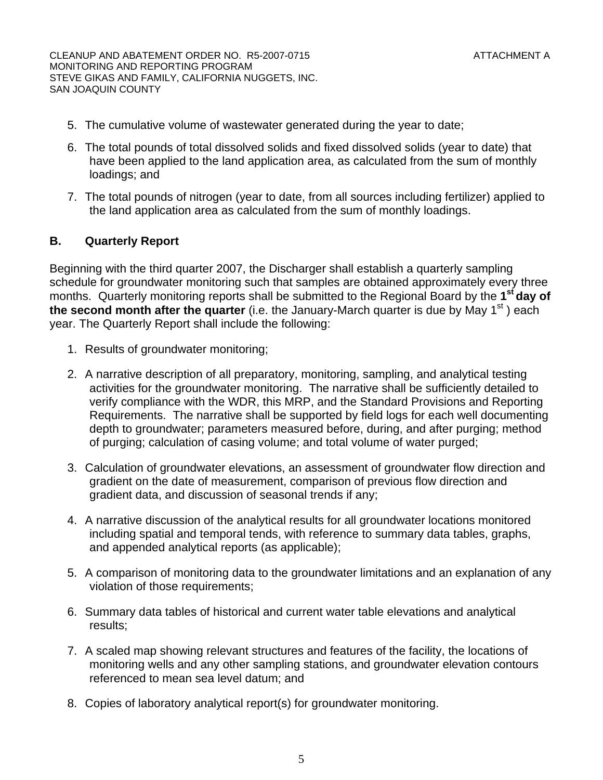CLEANUP AND ABATEMENT ORDER NO. R5-2007-0715 ATTACHMENT A MONITORING AND REPORTING PROGRAM STEVE GIKAS AND FAMILY, CALIFORNIA NUGGETS, INC. SAN JOAQUIN COUNTY

- 5. The cumulative volume of wastewater generated during the year to date;
- 6. The total pounds of total dissolved solids and fixed dissolved solids (year to date) that have been applied to the land application area, as calculated from the sum of monthly loadings; and
- 7. The total pounds of nitrogen (year to date, from all sources including fertilizer) applied to the land application area as calculated from the sum of monthly loadings.

# **B. Quarterly Report**

Beginning with the third quarter 2007, the Discharger shall establish a quarterly sampling schedule for groundwater monitoring such that samples are obtained approximately every three months. Quarterly monitoring reports shall be submitted to the Regional Board by the **1st day of**  the second month after the quarter (i.e. the January-March quarter is due by May 1<sup>st</sup>) each year. The Quarterly Report shall include the following:

- 1. Results of groundwater monitoring;
- 2. A narrative description of all preparatory, monitoring, sampling, and analytical testing activities for the groundwater monitoring. The narrative shall be sufficiently detailed to verify compliance with the WDR, this MRP, and the Standard Provisions and Reporting Requirements. The narrative shall be supported by field logs for each well documenting depth to groundwater; parameters measured before, during, and after purging; method of purging; calculation of casing volume; and total volume of water purged;
- 3. Calculation of groundwater elevations, an assessment of groundwater flow direction and gradient on the date of measurement, comparison of previous flow direction and gradient data, and discussion of seasonal trends if any;
- 4. A narrative discussion of the analytical results for all groundwater locations monitored including spatial and temporal tends, with reference to summary data tables, graphs, and appended analytical reports (as applicable);
- 5. A comparison of monitoring data to the groundwater limitations and an explanation of any violation of those requirements;
- 6. Summary data tables of historical and current water table elevations and analytical results;
- 7. A scaled map showing relevant structures and features of the facility, the locations of monitoring wells and any other sampling stations, and groundwater elevation contours referenced to mean sea level datum; and
- 8. Copies of laboratory analytical report(s) for groundwater monitoring.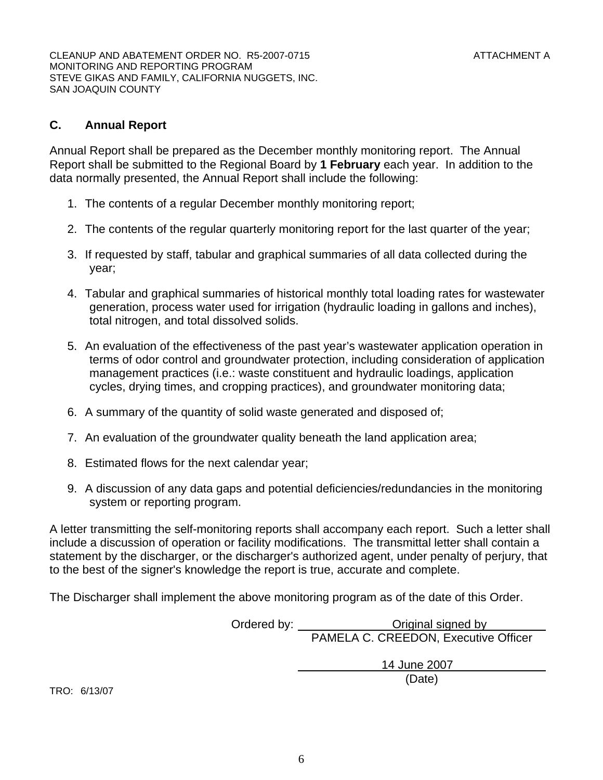CLEANUP AND ABATEMENT ORDER NO. R5-2007-0715 ATTACHMENT AND ATTACHMENT A MONITORING AND REPORTING PROGRAM STEVE GIKAS AND FAMILY, CALIFORNIA NUGGETS, INC. SAN JOAQUIN COUNTY

#### **C. Annual Report**

Annual Report shall be prepared as the December monthly monitoring report. The Annual Report shall be submitted to the Regional Board by **1 February** each year. In addition to the data normally presented, the Annual Report shall include the following:

- 1. The contents of a regular December monthly monitoring report;
- 2. The contents of the regular quarterly monitoring report for the last quarter of the year;
- 3. If requested by staff, tabular and graphical summaries of all data collected during the year;
- 4. Tabular and graphical summaries of historical monthly total loading rates for wastewater generation, process water used for irrigation (hydraulic loading in gallons and inches), total nitrogen, and total dissolved solids.
- 5. An evaluation of the effectiveness of the past year's wastewater application operation in terms of odor control and groundwater protection, including consideration of application management practices (i.e.: waste constituent and hydraulic loadings, application cycles, drying times, and cropping practices), and groundwater monitoring data;
- 6. A summary of the quantity of solid waste generated and disposed of;
- 7. An evaluation of the groundwater quality beneath the land application area;
- 8. Estimated flows for the next calendar year;
- 9. A discussion of any data gaps and potential deficiencies/redundancies in the monitoring system or reporting program.

A letter transmitting the self-monitoring reports shall accompany each report. Such a letter shall include a discussion of operation or facility modifications. The transmittal letter shall contain a statement by the discharger, or the discharger's authorized agent, under penalty of perjury, that to the best of the signer's knowledge the report is true, accurate and complete.

The Discharger shall implement the above monitoring program as of the date of this Order.

Ordered by: <u>Channel Channel Channel Standard by</u> PAMELA C. CREEDON, Executive Officer

 14 June 2007 (Date)

TRO: 6/13/07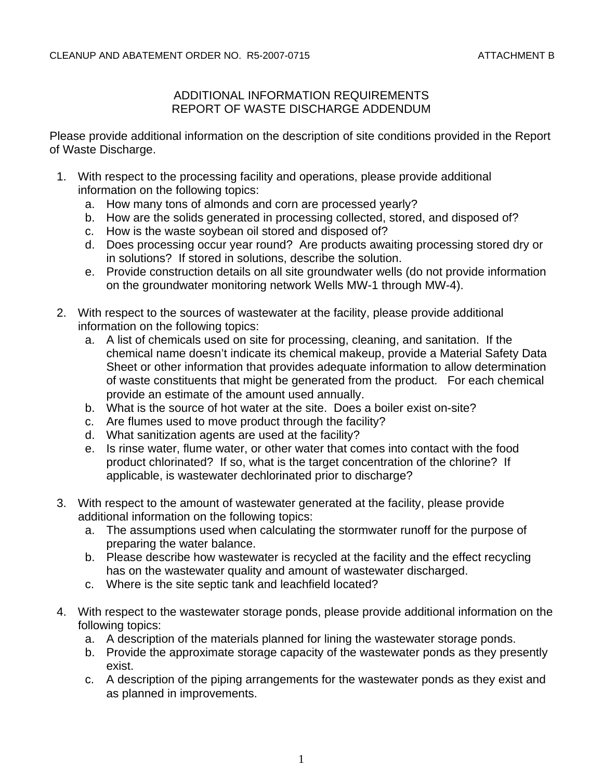# ADDITIONAL INFORMATION REQUIREMENTS REPORT OF WASTE DISCHARGE ADDENDUM

Please provide additional information on the description of site conditions provided in the Report of Waste Discharge.

- 1. With respect to the processing facility and operations, please provide additional information on the following topics:
	- a. How many tons of almonds and corn are processed yearly?
	- b. How are the solids generated in processing collected, stored, and disposed of?
	- c. How is the waste soybean oil stored and disposed of?
	- d. Does processing occur year round? Are products awaiting processing stored dry or in solutions? If stored in solutions, describe the solution.
	- e. Provide construction details on all site groundwater wells (do not provide information on the groundwater monitoring network Wells MW-1 through MW-4).
- 2. With respect to the sources of wastewater at the facility, please provide additional information on the following topics:
	- a. A list of chemicals used on site for processing, cleaning, and sanitation. If the chemical name doesn't indicate its chemical makeup, provide a Material Safety Data Sheet or other information that provides adequate information to allow determination of waste constituents that might be generated from the product. For each chemical provide an estimate of the amount used annually.
	- b. What is the source of hot water at the site. Does a boiler exist on-site?
	- c. Are flumes used to move product through the facility?
	- d. What sanitization agents are used at the facility?
	- e. Is rinse water, flume water, or other water that comes into contact with the food product chlorinated? If so, what is the target concentration of the chlorine? If applicable, is wastewater dechlorinated prior to discharge?
- 3. With respect to the amount of wastewater generated at the facility, please provide additional information on the following topics:
	- a. The assumptions used when calculating the stormwater runoff for the purpose of preparing the water balance.
	- b. Please describe how wastewater is recycled at the facility and the effect recycling has on the wastewater quality and amount of wastewater discharged.
	- c. Where is the site septic tank and leachfield located?
- 4. With respect to the wastewater storage ponds, please provide additional information on the following topics:
	- a. A description of the materials planned for lining the wastewater storage ponds.
	- b. Provide the approximate storage capacity of the wastewater ponds as they presently exist.
	- c. A description of the piping arrangements for the wastewater ponds as they exist and as planned in improvements.